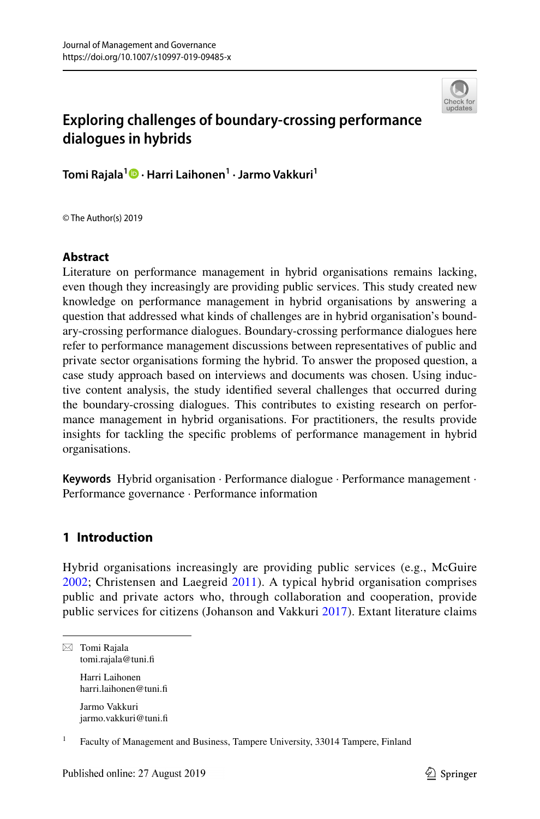

# **Exploring challenges of boundary‑crossing performance dialogues in hybrids**

**Tomi Rajala<sup>1</sup> · Harri Laihonen1 · Jarmo Vakkuri1**

© The Author(s) 2019

#### **Abstract**

Literature on performance management in hybrid organisations remains lacking, even though they increasingly are providing public services. This study created new knowledge on performance management in hybrid organisations by answering a question that addressed what kinds of challenges are in hybrid organisation's boundary-crossing performance dialogues. Boundary-crossing performance dialogues here refer to performance management discussions between representatives of public and private sector organisations forming the hybrid. To answer the proposed question, a case study approach based on interviews and documents was chosen. Using inductive content analysis, the study identifed several challenges that occurred during the boundary-crossing dialogues. This contributes to existing research on performance management in hybrid organisations. For practitioners, the results provide insights for tackling the specifc problems of performance management in hybrid organisations.

**Keywords** Hybrid organisation · Performance dialogue · Performance management · Performance governance · Performance information

### **1 Introduction**

Hybrid organisations increasingly are providing public services (e.g., McGuire [2002;](#page-20-0) Christensen and Laegreid [2011\)](#page-19-0). A typical hybrid organisation comprises public and private actors who, through collaboration and cooperation, provide public services for citizens (Johanson and Vakkuri [2017\)](#page-19-1). Extant literature claims

Harri Laihonen harri.laihonen@tuni.f

Jarmo Vakkuri jarmo.vakkuri@tuni.f

 $\boxtimes$  Tomi Rajala tomi.rajala@tuni.f

<sup>&</sup>lt;sup>1</sup> Faculty of Management and Business, Tampere University, 33014 Tampere, Finland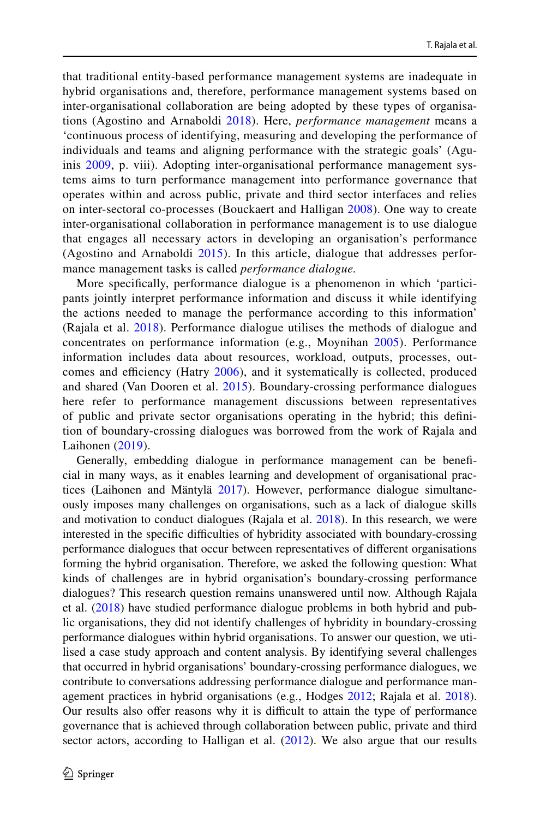that traditional entity-based performance management systems are inadequate in hybrid organisations and, therefore, performance management systems based on inter-organisational collaboration are being adopted by these types of organisations (Agostino and Arnaboldi [2018\)](#page-19-2). Here, *performance management* means a 'continuous process of identifying, measuring and developing the performance of individuals and teams and aligning performance with the strategic goals' (Aguinis [2009](#page-19-3), p. viii). Adopting inter-organisational performance management systems aims to turn performance management into performance governance that operates within and across public, private and third sector interfaces and relies on inter-sectoral co-processes (Bouckaert and Halligan [2008\)](#page-19-4). One way to create inter-organisational collaboration in performance management is to use dialogue that engages all necessary actors in developing an organisation's performance (Agostino and Arnaboldi [2015\)](#page-19-5). In this article, dialogue that addresses performance management tasks is called *performance dialogue.*

More specifcally, performance dialogue is a phenomenon in which 'participants jointly interpret performance information and discuss it while identifying the actions needed to manage the performance according to this information' (Rajala et al. [2018\)](#page-20-1). Performance dialogue utilises the methods of dialogue and concentrates on performance information (e.g., Moynihan [2005](#page-20-2)). Performance information includes data about resources, workload, outputs, processes, out-comes and efficiency (Hatry [2006\)](#page-19-6), and it systematically is collected, produced and shared (Van Dooren et al. [2015\)](#page-20-3). Boundary-crossing performance dialogues here refer to performance management discussions between representatives of public and private sector organisations operating in the hybrid; this defnition of boundary-crossing dialogues was borrowed from the work of Rajala and Laihonen ([2019\)](#page-20-4).

Generally, embedding dialogue in performance management can be benefcial in many ways, as it enables learning and development of organisational practices (Laihonen and Mäntylä [2017\)](#page-19-7). However, performance dialogue simultaneously imposes many challenges on organisations, such as a lack of dialogue skills and motivation to conduct dialogues (Rajala et al. [2018](#page-20-1)). In this research, we were interested in the specific difficulties of hybridity associated with boundary-crossing performance dialogues that occur between representatives of diferent organisations forming the hybrid organisation. Therefore, we asked the following question: What kinds of challenges are in hybrid organisation's boundary-crossing performance dialogues? This research question remains unanswered until now. Although Rajala et al. ([2018\)](#page-20-1) have studied performance dialogue problems in both hybrid and public organisations, they did not identify challenges of hybridity in boundary-crossing performance dialogues within hybrid organisations. To answer our question, we utilised a case study approach and content analysis. By identifying several challenges that occurred in hybrid organisations' boundary-crossing performance dialogues, we contribute to conversations addressing performance dialogue and performance management practices in hybrid organisations (e.g., Hodges [2012](#page-19-8); Rajala et al. [2018\)](#page-20-1). Our results also offer reasons why it is difficult to attain the type of performance governance that is achieved through collaboration between public, private and third sector actors, according to Halligan et al.  $(2012)$  $(2012)$ . We also argue that our results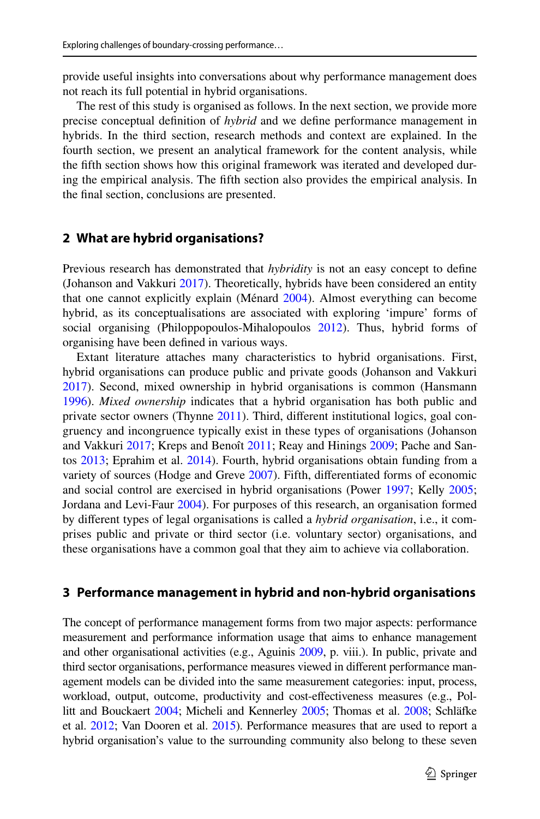provide useful insights into conversations about why performance management does not reach its full potential in hybrid organisations.

The rest of this study is organised as follows. In the next section, we provide more precise conceptual defnition of *hybrid* and we defne performance management in hybrids. In the third section, research methods and context are explained. In the fourth section, we present an analytical framework for the content analysis, while the ffth section shows how this original framework was iterated and developed during the empirical analysis. The ffth section also provides the empirical analysis. In the fnal section, conclusions are presented.

#### **2 What are hybrid organisations?**

Previous research has demonstrated that *hybridity* is not an easy concept to defne (Johanson and Vakkuri [2017](#page-19-1)). Theoretically, hybrids have been considered an entity that one cannot explicitly explain (Ménard [2004\)](#page-20-5). Almost everything can become hybrid, as its conceptualisations are associated with exploring 'impure' forms of social organising (Philoppopoulos-Mihalopoulos [2012\)](#page-20-6). Thus, hybrid forms of organising have been defned in various ways.

Extant literature attaches many characteristics to hybrid organisations. First, hybrid organisations can produce public and private goods (Johanson and Vakkuri [2017](#page-19-1)). Second, mixed ownership in hybrid organisations is common (Hansmann [1996](#page-19-10)). *Mixed ownership* indicates that a hybrid organisation has both public and private sector owners (Thynne [2011\)](#page-20-7). Third, diferent institutional logics, goal congruency and incongruence typically exist in these types of organisations (Johanson and Vakkuri [2017](#page-19-1); Kreps and Benoît [2011](#page-19-11); Reay and Hinings [2009](#page-20-8); Pache and Santos [2013;](#page-20-9) Eprahim et al. [2014](#page-19-12)). Fourth, hybrid organisations obtain funding from a variety of sources (Hodge and Greve [2007](#page-19-13)). Fifth, diferentiated forms of economic and social control are exercised in hybrid organisations (Power [1997;](#page-20-10) Kelly [2005;](#page-19-14) Jordana and Levi-Faur [2004\)](#page-19-15). For purposes of this research, an organisation formed by diferent types of legal organisations is called a *hybrid organisation*, i.e., it comprises public and private or third sector (i.e. voluntary sector) organisations, and these organisations have a common goal that they aim to achieve via collaboration.

#### **3 Performance management in hybrid and non‑hybrid organisations**

The concept of performance management forms from two major aspects: performance measurement and performance information usage that aims to enhance management and other organisational activities (e.g., Aguinis [2009](#page-19-3), p. viii.). In public, private and third sector organisations, performance measures viewed in diferent performance management models can be divided into the same measurement categories: input, process, workload, output, outcome, productivity and cost-efectiveness measures (e.g., Pollitt and Bouckaert [2004](#page-20-11); Micheli and Kennerley [2005](#page-20-12); Thomas et al. [2008;](#page-20-13) Schläfke et al. [2012](#page-20-14); Van Dooren et al. [2015](#page-20-3)). Performance measures that are used to report a hybrid organisation's value to the surrounding community also belong to these seven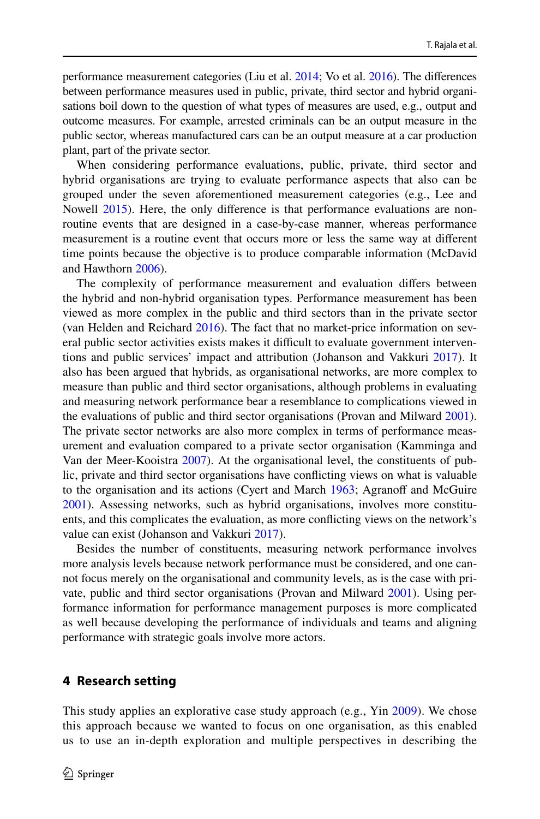performance measurement categories (Liu et al. [2014;](#page-19-16) Vo et al. [2016\)](#page-21-0). The diferences between performance measures used in public, private, third sector and hybrid organisations boil down to the question of what types of measures are used, e.g., output and outcome measures. For example, arrested criminals can be an output measure in the public sector, whereas manufactured cars can be an output measure at a car production plant, part of the private sector.

When considering performance evaluations, public, private, third sector and hybrid organisations are trying to evaluate performance aspects that also can be grouped under the seven aforementioned measurement categories (e.g., Lee and Nowell [2015\)](#page-19-17). Here, the only difference is that performance evaluations are nonroutine events that are designed in a case-by-case manner, whereas performance measurement is a routine event that occurs more or less the same way at diferent time points because the objective is to produce comparable information (McDavid and Hawthorn [2006](#page-20-15)).

The complexity of performance measurement and evaluation difers between the hybrid and non-hybrid organisation types. Performance measurement has been viewed as more complex in the public and third sectors than in the private sector (van Helden and Reichard [2016](#page-20-16)). The fact that no market-price information on several public sector activities exists makes it difficult to evaluate government interventions and public services' impact and attribution (Johanson and Vakkuri [2017\)](#page-19-1). It also has been argued that hybrids, as organisational networks, are more complex to measure than public and third sector organisations, although problems in evaluating and measuring network performance bear a resemblance to complications viewed in the evaluations of public and third sector organisations (Provan and Milward [2001\)](#page-20-17). The private sector networks are also more complex in terms of performance measurement and evaluation compared to a private sector organisation (Kamminga and Van der Meer-Kooistra [2007](#page-19-18)). At the organisational level, the constituents of public, private and third sector organisations have conficting views on what is valuable to the organisation and its actions (Cyert and March [1963;](#page-19-19) Agranoff and McGuire [2001](#page-19-20)). Assessing networks, such as hybrid organisations, involves more constituents, and this complicates the evaluation, as more conficting views on the network's value can exist (Johanson and Vakkuri [2017](#page-19-1)).

Besides the number of constituents, measuring network performance involves more analysis levels because network performance must be considered, and one cannot focus merely on the organisational and community levels, as is the case with private, public and third sector organisations (Provan and Milward [2001\)](#page-20-17). Using performance information for performance management purposes is more complicated as well because developing the performance of individuals and teams and aligning performance with strategic goals involve more actors.

#### **4 Research setting**

This study applies an explorative case study approach (e.g., Yin [2009\)](#page-21-1). We chose this approach because we wanted to focus on one organisation, as this enabled us to use an in-depth exploration and multiple perspectives in describing the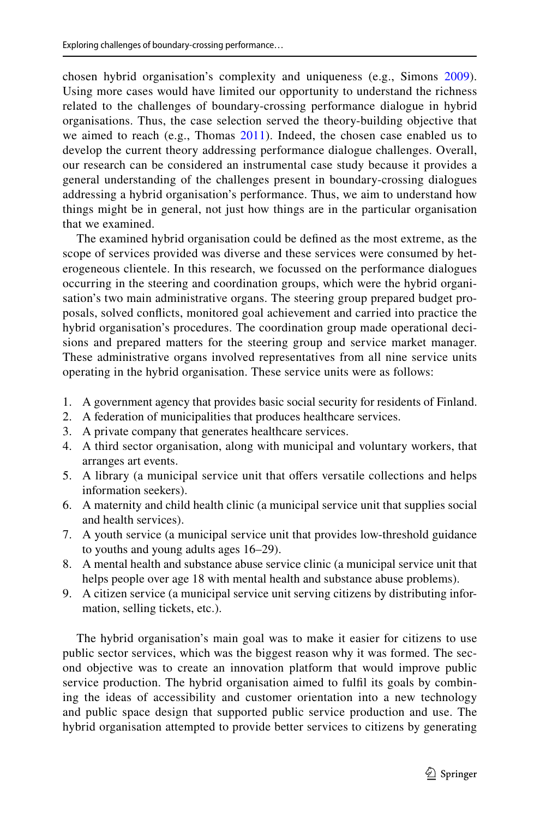chosen hybrid organisation's complexity and uniqueness (e.g., Simons [2009](#page-20-18)). Using more cases would have limited our opportunity to understand the richness related to the challenges of boundary-crossing performance dialogue in hybrid organisations. Thus, the case selection served the theory-building objective that we aimed to reach (e.g., Thomas  $2011$ ). Indeed, the chosen case enabled us to develop the current theory addressing performance dialogue challenges. Overall, our research can be considered an instrumental case study because it provides a general understanding of the challenges present in boundary-crossing dialogues addressing a hybrid organisation's performance. Thus, we aim to understand how things might be in general, not just how things are in the particular organisation that we examined.

The examined hybrid organisation could be defned as the most extreme, as the scope of services provided was diverse and these services were consumed by heterogeneous clientele. In this research, we focussed on the performance dialogues occurring in the steering and coordination groups, which were the hybrid organisation's two main administrative organs. The steering group prepared budget proposals, solved conficts, monitored goal achievement and carried into practice the hybrid organisation's procedures. The coordination group made operational decisions and prepared matters for the steering group and service market manager. These administrative organs involved representatives from all nine service units operating in the hybrid organisation. These service units were as follows:

- 1. A government agency that provides basic social security for residents of Finland.
- 2. A federation of municipalities that produces healthcare services.
- 3. A private company that generates healthcare services.
- 4. A third sector organisation, along with municipal and voluntary workers, that arranges art events.
- 5. A library (a municipal service unit that offers versatile collections and helps information seekers).
- 6. A maternity and child health clinic (a municipal service unit that supplies social and health services).
- 7. A youth service (a municipal service unit that provides low-threshold guidance to youths and young adults ages 16–29).
- 8. A mental health and substance abuse service clinic (a municipal service unit that helps people over age 18 with mental health and substance abuse problems).
- 9. A citizen service (a municipal service unit serving citizens by distributing information, selling tickets, etc.).

The hybrid organisation's main goal was to make it easier for citizens to use public sector services, which was the biggest reason why it was formed. The second objective was to create an innovation platform that would improve public service production. The hybrid organisation aimed to fulfl its goals by combining the ideas of accessibility and customer orientation into a new technology and public space design that supported public service production and use. The hybrid organisation attempted to provide better services to citizens by generating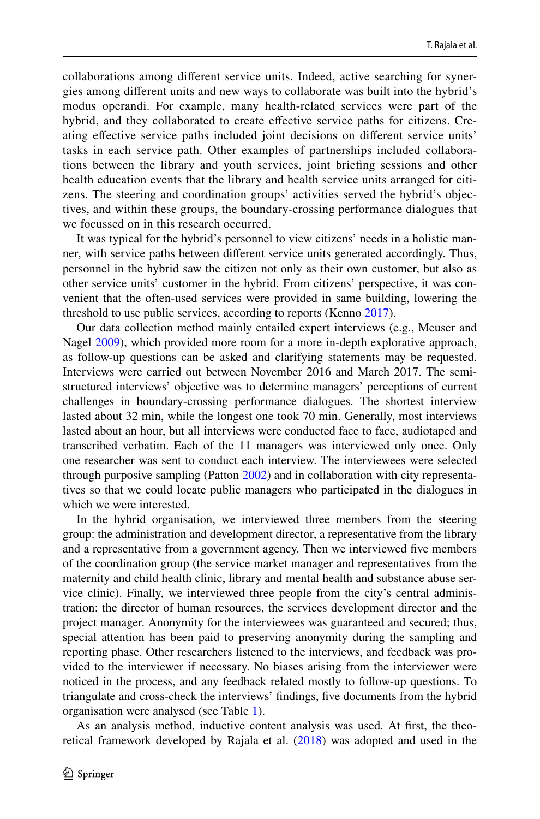collaborations among diferent service units. Indeed, active searching for synergies among diferent units and new ways to collaborate was built into the hybrid's modus operandi. For example, many health-related services were part of the hybrid, and they collaborated to create efective service paths for citizens. Creating efective service paths included joint decisions on diferent service units' tasks in each service path. Other examples of partnerships included collaborations between the library and youth services, joint briefng sessions and other health education events that the library and health service units arranged for citizens. The steering and coordination groups' activities served the hybrid's objectives, and within these groups, the boundary-crossing performance dialogues that we focussed on in this research occurred.

It was typical for the hybrid's personnel to view citizens' needs in a holistic manner, with service paths between diferent service units generated accordingly. Thus, personnel in the hybrid saw the citizen not only as their own customer, but also as other service units' customer in the hybrid. From citizens' perspective, it was convenient that the often-used services were provided in same building, lowering the threshold to use public services, according to reports (Kenno [2017\)](#page-19-21).

Our data collection method mainly entailed expert interviews (e.g., Meuser and Nagel [2009\)](#page-20-20), which provided more room for a more in-depth explorative approach, as follow-up questions can be asked and clarifying statements may be requested. Interviews were carried out between November 2016 and March 2017. The semistructured interviews' objective was to determine managers' perceptions of current challenges in boundary-crossing performance dialogues. The shortest interview lasted about 32 min, while the longest one took 70 min. Generally, most interviews lasted about an hour, but all interviews were conducted face to face, audiotaped and transcribed verbatim. Each of the 11 managers was interviewed only once. Only one researcher was sent to conduct each interview. The interviewees were selected through purposive sampling (Patton [2002](#page-20-21)) and in collaboration with city representatives so that we could locate public managers who participated in the dialogues in which we were interested.

In the hybrid organisation, we interviewed three members from the steering group: the administration and development director, a representative from the library and a representative from a government agency. Then we interviewed fve members of the coordination group (the service market manager and representatives from the maternity and child health clinic, library and mental health and substance abuse service clinic). Finally, we interviewed three people from the city's central administration: the director of human resources, the services development director and the project manager. Anonymity for the interviewees was guaranteed and secured; thus, special attention has been paid to preserving anonymity during the sampling and reporting phase. Other researchers listened to the interviews, and feedback was provided to the interviewer if necessary. No biases arising from the interviewer were noticed in the process, and any feedback related mostly to follow-up questions. To triangulate and cross-check the interviews' fndings, fve documents from the hybrid organisation were analysed (see Table [1](#page-6-0)).

As an analysis method, inductive content analysis was used. At frst, the theoretical framework developed by Rajala et al. [\(2018](#page-20-1)) was adopted and used in the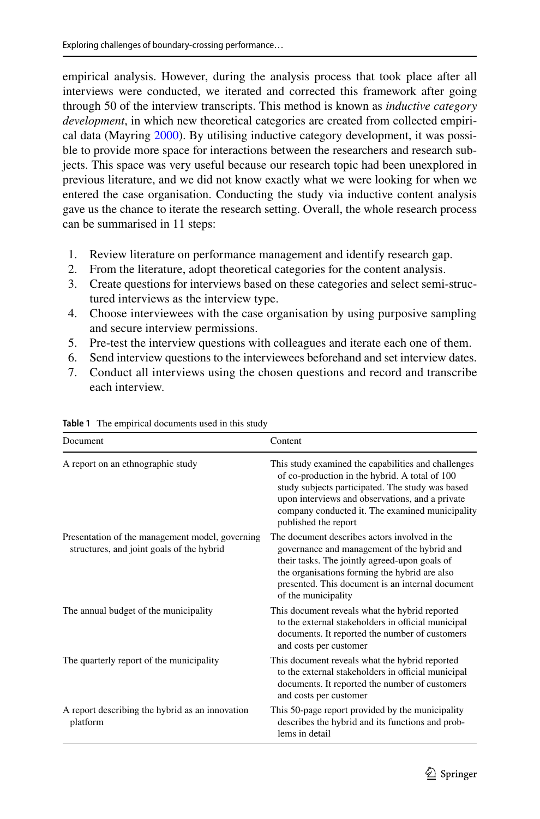empirical analysis. However, during the analysis process that took place after all interviews were conducted, we iterated and corrected this framework after going through 50 of the interview transcripts. This method is known as *inductive category development*, in which new theoretical categories are created from collected empirical data (Mayring [2000\)](#page-20-22). By utilising inductive category development, it was possible to provide more space for interactions between the researchers and research subjects. This space was very useful because our research topic had been unexplored in previous literature, and we did not know exactly what we were looking for when we entered the case organisation. Conducting the study via inductive content analysis gave us the chance to iterate the research setting. Overall, the whole research process can be summarised in 11 steps:

- 1. Review literature on performance management and identify research gap.<br>2. From the literature adopt theoretical categories for the content analysis
- 2. From the literature, adopt theoretical categories for the content analysis.
- 3. Create questions for interviews based on these categories and select semi-structured interviews as the interview type.
- 4. Choose interviewees with the case organisation by using purposive sampling and secure interview permissions.
- 5. Pre-test the interview questions with colleagues and iterate each one of them.
- 6. Send interview questions to the interviewees beforehand and set interview dates.
- 7. Conduct all interviews using the chosen questions and record and transcribe each interview.

| Document                                                                                     | Content                                                                                                                                                                                                                                                                                 |  |
|----------------------------------------------------------------------------------------------|-----------------------------------------------------------------------------------------------------------------------------------------------------------------------------------------------------------------------------------------------------------------------------------------|--|
| A report on an ethnographic study                                                            | This study examined the capabilities and challenges<br>of co-production in the hybrid. A total of 100<br>study subjects participated. The study was based<br>upon interviews and observations, and a private<br>company conducted it. The examined municipality<br>published the report |  |
| Presentation of the management model, governing<br>structures, and joint goals of the hybrid | The document describes actors involved in the<br>governance and management of the hybrid and<br>their tasks. The jointly agreed-upon goals of<br>the organisations forming the hybrid are also<br>presented. This document is an internal document<br>of the municipality               |  |
| The annual budget of the municipality                                                        | This document reveals what the hybrid reported<br>to the external stakeholders in official municipal<br>documents. It reported the number of customers<br>and costs per customer                                                                                                        |  |
| The quarterly report of the municipality                                                     | This document reveals what the hybrid reported<br>to the external stakeholders in official municipal<br>documents. It reported the number of customers<br>and costs per customer                                                                                                        |  |
| A report describing the hybrid as an innovation<br>platform                                  | This 50-page report provided by the municipality<br>describes the hybrid and its functions and prob-<br>lems in detail                                                                                                                                                                  |  |

<span id="page-6-0"></span>**Table 1** The empirical documents used in this study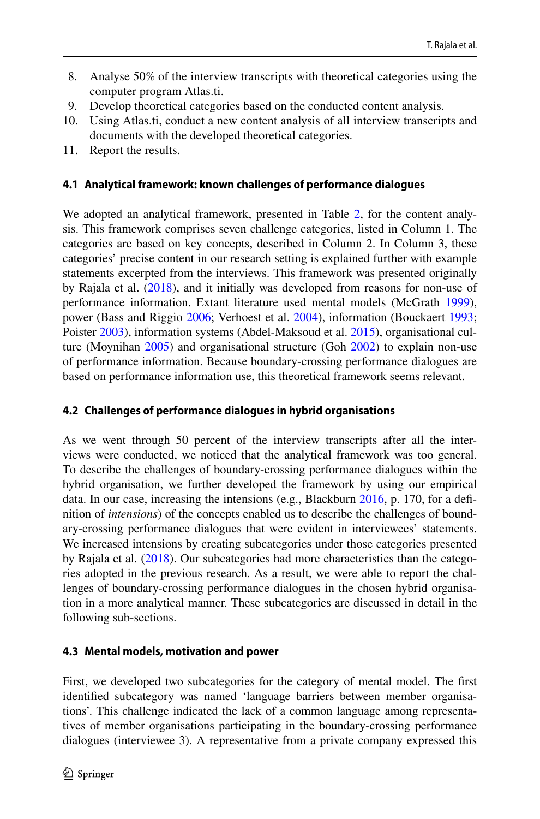- 8. Analyse 50% of the interview transcripts with theoretical categories using the computer program Atlas.ti.
- 9. Develop theoretical categories based on the conducted content analysis.
- 10. Using Atlas.ti, conduct a new content analysis of all interview transcripts and documents with the developed theoretical categories.
- 11. Report the results.

#### **4.1 Analytical framework: known challenges of performance dialogues**

We adopted an analytical framework, presented in Table [2](#page-8-0), for the content analysis. This framework comprises seven challenge categories, listed in Column 1. The categories are based on key concepts, described in Column 2. In Column 3, these categories' precise content in our research setting is explained further with example statements excerpted from the interviews. This framework was presented originally by Rajala et al. [\(2018](#page-20-1)), and it initially was developed from reasons for non-use of performance information. Extant literature used mental models (McGrath [1999\)](#page-20-23), power (Bass and Riggio [2006;](#page-19-22) Verhoest et al. [2004\)](#page-21-2), information (Bouckaert [1993;](#page-19-23) Poister [2003](#page-20-24)), information systems (Abdel-Maksoud et al. [2015\)](#page-19-24), organisational culture (Moynihan [2005\)](#page-20-2) and organisational structure (Goh [2002\)](#page-19-25) to explain non-use of performance information. Because boundary-crossing performance dialogues are based on performance information use, this theoretical framework seems relevant.

### **4.2 Challenges of performance dialogues in hybrid organisations**

As we went through 50 percent of the interview transcripts after all the interviews were conducted, we noticed that the analytical framework was too general. To describe the challenges of boundary-crossing performance dialogues within the hybrid organisation, we further developed the framework by using our empirical data. In our case, increasing the intensions (e.g., Blackburn [2016,](#page-19-26) p. 170, for a definition of *intensions*) of the concepts enabled us to describe the challenges of boundary-crossing performance dialogues that were evident in interviewees' statements. We increased intensions by creating subcategories under those categories presented by Rajala et al. [\(2018](#page-20-1)). Our subcategories had more characteristics than the categories adopted in the previous research. As a result, we were able to report the challenges of boundary-crossing performance dialogues in the chosen hybrid organisation in a more analytical manner. These subcategories are discussed in detail in the following sub-sections.

### **4.3 Mental models, motivation and power**

First, we developed two subcategories for the category of mental model. The frst identifed subcategory was named 'language barriers between member organisations'. This challenge indicated the lack of a common language among representatives of member organisations participating in the boundary-crossing performance dialogues (interviewee 3). A representative from a private company expressed this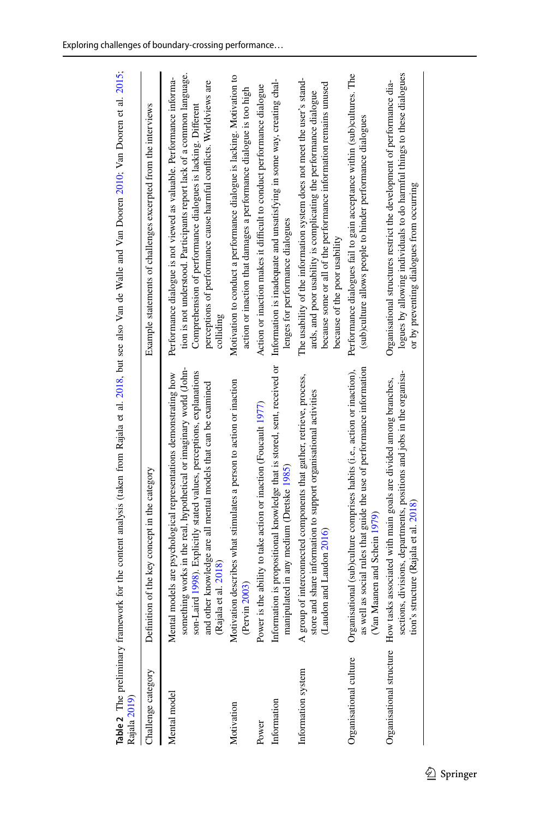<span id="page-8-0"></span>

| Rajala 2019)             |                                                                                                                                                                                                                                                                                                                           | Table 2 The preliminary framework for the content analysis (taken from Rajala et al. 2018, but see also Van de Walle and Van Dooren 2010; Van Dooren et al. 2015;                                                                                                                                 |
|--------------------------|---------------------------------------------------------------------------------------------------------------------------------------------------------------------------------------------------------------------------------------------------------------------------------------------------------------------------|---------------------------------------------------------------------------------------------------------------------------------------------------------------------------------------------------------------------------------------------------------------------------------------------------|
| Challenge category       | Definition of the key concept in the category                                                                                                                                                                                                                                                                             | Example statements of challenges excerpted from the interviews                                                                                                                                                                                                                                    |
| Mental model             | something works in the real, hypothetical or imaginary world (John-<br>son-Laird 1998). Explicitly stated values, perceptions, explanations<br>Mental models are psychological representations demonstrating how<br>other knowledge are all mental models that can be examined<br>ijala et al. 2018)<br>and<br><b>E</b> a | tion is not understood. Participants report lack of a common language.<br>Performance dialogue is not viewed as valuable. Performance informa-<br>perceptions of performance cause harmful conflicts. Worldviews are<br>Comprehension of performance dialogues is lacking. Different<br>colliding |
| Motivation               | Motivation describes what stimulates a person to action or inaction<br>(Pervin 2003)                                                                                                                                                                                                                                      | Motivation to conduct a performance dialogue is lacking. Motivation to<br>action or inaction that damages a performance dialogue is too high                                                                                                                                                      |
| Power                    | Power is the ability to take action or inaction (Foucault 1977)                                                                                                                                                                                                                                                           | Action or inaction makes it difficult to conduct performance dialogue                                                                                                                                                                                                                             |
| Information              | Information is propositional knowledge that is stored, sent, received or<br>manipulated in any medium (Dretske 1985)                                                                                                                                                                                                      | Information is inadequate and unsatisfying in some way, creating chal-<br>lenges for performance dialogues                                                                                                                                                                                        |
| Information system       | A group of interconnected components that gather, retrieve, process,<br>store and share information to support organisational activities<br>(Laudon and Laudon 2016)                                                                                                                                                      | The usability of the information system does not meet the user's stand-<br>because some or all of the performance information remains unused<br>ards, and poor usability is complicating the performance dialogue<br>because of the poor usability                                                |
| Organisational culture   | as well as social rules that guide the use of performance information<br>Organisational (sub)culture comprises habits (i.e., action or inaction),<br>(Van Maanen and Schein 1979)                                                                                                                                         | Performance dialogues fail to gain acceptance within (sub)cultures. The<br>(sub)culture allows people to hinder performance dialogues                                                                                                                                                             |
| Organisational structure | sections, divisions, departments, positions and jobs in the organisa-<br>How tasks associated with main goals are divided among branches,<br>tion's structure (Rajala et al. 2018)                                                                                                                                        | logues by allowing individuals to do harmful things to these dialogues<br>Organisational structures restrict the development of performance dia-<br>or by preventing dialogues from occurring                                                                                                     |
|                          |                                                                                                                                                                                                                                                                                                                           |                                                                                                                                                                                                                                                                                                   |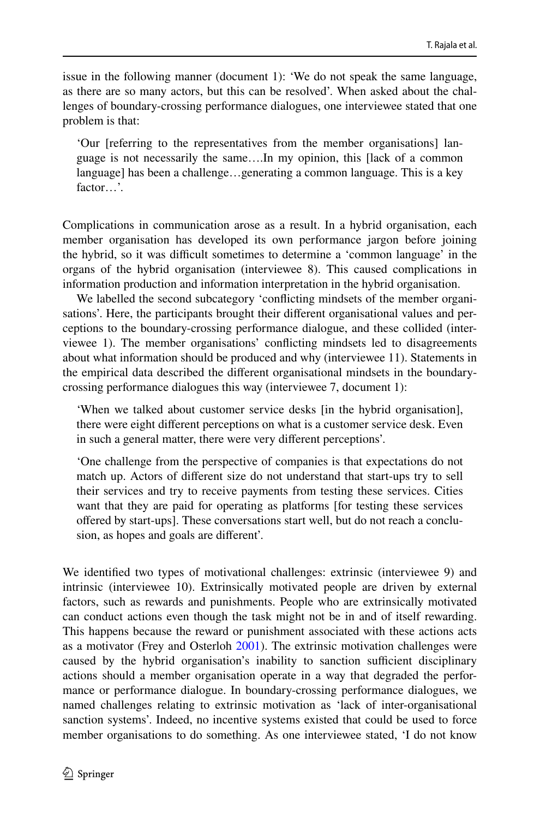issue in the following manner (document 1): 'We do not speak the same language, as there are so many actors, but this can be resolved'. When asked about the challenges of boundary-crossing performance dialogues, one interviewee stated that one problem is that:

'Our [referring to the representatives from the member organisations] language is not necessarily the same….In my opinion, this [lack of a common language] has been a challenge…generating a common language. This is a key factor…'.

Complications in communication arose as a result. In a hybrid organisation, each member organisation has developed its own performance jargon before joining the hybrid, so it was difficult sometimes to determine a 'common language' in the organs of the hybrid organisation (interviewee 8). This caused complications in information production and information interpretation in the hybrid organisation.

We labelled the second subcategory 'conficting mindsets of the member organisations'. Here, the participants brought their diferent organisational values and perceptions to the boundary-crossing performance dialogue, and these collided (interviewee 1). The member organisations' conficting mindsets led to disagreements about what information should be produced and why (interviewee 11). Statements in the empirical data described the diferent organisational mindsets in the boundarycrossing performance dialogues this way (interviewee 7, document 1):

'When we talked about customer service desks [in the hybrid organisation], there were eight diferent perceptions on what is a customer service desk. Even in such a general matter, there were very diferent perceptions'.

'One challenge from the perspective of companies is that expectations do not match up. Actors of diferent size do not understand that start-ups try to sell their services and try to receive payments from testing these services. Cities want that they are paid for operating as platforms [for testing these services ofered by start-ups]. These conversations start well, but do not reach a conclusion, as hopes and goals are diferent'.

We identifed two types of motivational challenges: extrinsic (interviewee 9) and intrinsic (interviewee 10). Extrinsically motivated people are driven by external factors, such as rewards and punishments. People who are extrinsically motivated can conduct actions even though the task might not be in and of itself rewarding. This happens because the reward or punishment associated with these actions acts as a motivator (Frey and Osterloh [2001](#page-19-31)). The extrinsic motivation challenges were caused by the hybrid organisation's inability to sanction sufficient disciplinary actions should a member organisation operate in a way that degraded the performance or performance dialogue. In boundary-crossing performance dialogues, we named challenges relating to extrinsic motivation as 'lack of inter-organisational sanction systems'. Indeed, no incentive systems existed that could be used to force member organisations to do something. As one interviewee stated, 'I do not know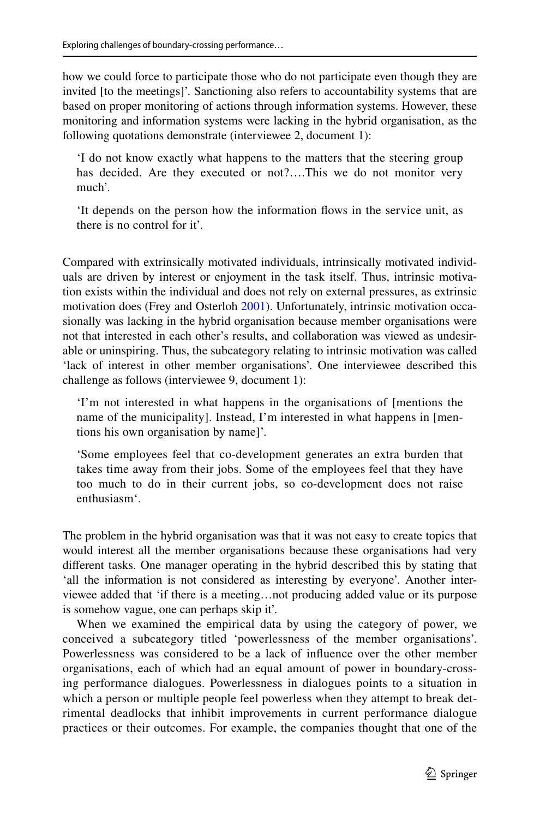how we could force to participate those who do not participate even though they are invited [to the meetings]'. Sanctioning also refers to accountability systems that are based on proper monitoring of actions through information systems. However, these monitoring and information systems were lacking in the hybrid organisation, as the following quotations demonstrate (interviewee 2, document 1):

'I do not know exactly what happens to the matters that the steering group has decided. Are they executed or not?….This we do not monitor very much'.

'It depends on the person how the information fows in the service unit, as there is no control for it'.

Compared with extrinsically motivated individuals, intrinsically motivated individuals are driven by interest or enjoyment in the task itself. Thus, intrinsic motivation exists within the individual and does not rely on external pressures, as extrinsic motivation does (Frey and Osterloh [2001](#page-19-31)). Unfortunately, intrinsic motivation occasionally was lacking in the hybrid organisation because member organisations were not that interested in each other's results, and collaboration was viewed as undesirable or uninspiring. Thus, the subcategory relating to intrinsic motivation was called 'lack of interest in other member organisations'. One interviewee described this challenge as follows (interviewee 9, document 1):

'I'm not interested in what happens in the organisations of [mentions the name of the municipality]. Instead, I'm interested in what happens in [mentions his own organisation by name]'.

'Some employees feel that co-development generates an extra burden that takes time away from their jobs. Some of the employees feel that they have too much to do in their current jobs, so co-development does not raise enthusiasm'.

The problem in the hybrid organisation was that it was not easy to create topics that would interest all the member organisations because these organisations had very diferent tasks. One manager operating in the hybrid described this by stating that 'all the information is not considered as interesting by everyone'. Another interviewee added that 'if there is a meeting…not producing added value or its purpose is somehow vague, one can perhaps skip it'.

When we examined the empirical data by using the category of power, we conceived a subcategory titled 'powerlessness of the member organisations'. Powerlessness was considered to be a lack of infuence over the other member organisations, each of which had an equal amount of power in boundary-crossing performance dialogues. Powerlessness in dialogues points to a situation in which a person or multiple people feel powerless when they attempt to break detrimental deadlocks that inhibit improvements in current performance dialogue practices or their outcomes. For example, the companies thought that one of the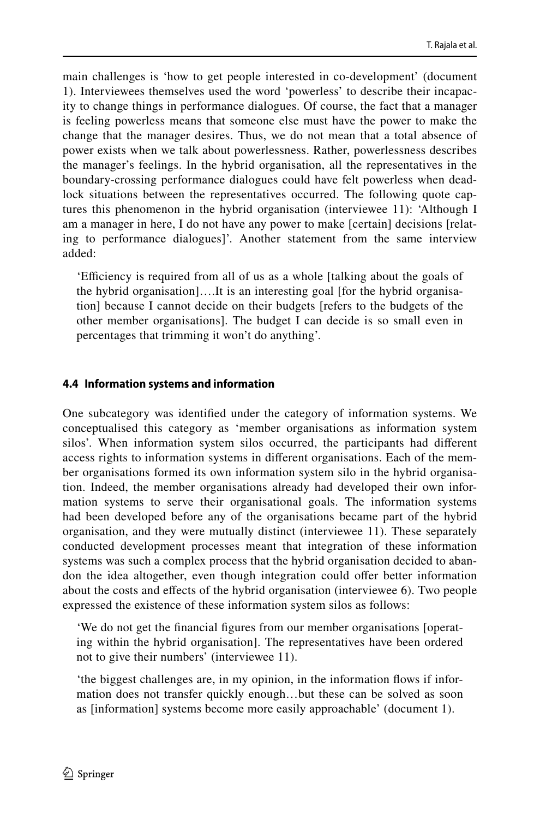main challenges is 'how to get people interested in co-development' (document 1). Interviewees themselves used the word 'powerless' to describe their incapacity to change things in performance dialogues. Of course, the fact that a manager is feeling powerless means that someone else must have the power to make the change that the manager desires. Thus, we do not mean that a total absence of power exists when we talk about powerlessness. Rather, powerlessness describes the manager's feelings. In the hybrid organisation, all the representatives in the boundary-crossing performance dialogues could have felt powerless when deadlock situations between the representatives occurred. The following quote captures this phenomenon in the hybrid organisation (interviewee 11): 'Although I am a manager in here, I do not have any power to make [certain] decisions [relating to performance dialogues]'. Another statement from the same interview added:

'Efciency is required from all of us as a whole [talking about the goals of the hybrid organisation]….It is an interesting goal [for the hybrid organisation] because I cannot decide on their budgets [refers to the budgets of the other member organisations]. The budget I can decide is so small even in percentages that trimming it won't do anything'.

#### **4.4 Information systems and information**

One subcategory was identifed under the category of information systems. We conceptualised this category as 'member organisations as information system silos'. When information system silos occurred, the participants had diferent access rights to information systems in diferent organisations. Each of the member organisations formed its own information system silo in the hybrid organisation. Indeed, the member organisations already had developed their own information systems to serve their organisational goals. The information systems had been developed before any of the organisations became part of the hybrid organisation, and they were mutually distinct (interviewee 11). These separately conducted development processes meant that integration of these information systems was such a complex process that the hybrid organisation decided to abandon the idea altogether, even though integration could ofer better information about the costs and efects of the hybrid organisation (interviewee 6). Two people expressed the existence of these information system silos as follows:

'We do not get the fnancial fgures from our member organisations [operating within the hybrid organisation]. The representatives have been ordered not to give their numbers' (interviewee 11).

'the biggest challenges are, in my opinion, in the information fows if information does not transfer quickly enough…but these can be solved as soon as [information] systems become more easily approachable' (document 1).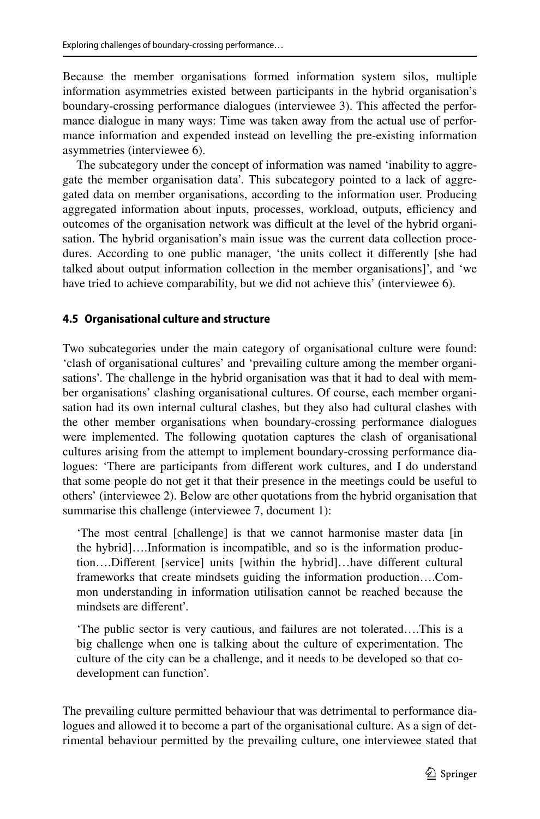Because the member organisations formed information system silos, multiple information asymmetries existed between participants in the hybrid organisation's boundary-crossing performance dialogues (interviewee 3). This affected the performance dialogue in many ways: Time was taken away from the actual use of performance information and expended instead on levelling the pre-existing information asymmetries (interviewee 6).

The subcategory under the concept of information was named 'inability to aggregate the member organisation data'. This subcategory pointed to a lack of aggregated data on member organisations, according to the information user. Producing aggregated information about inputs, processes, workload, outputs, efficiency and outcomes of the organisation network was difcult at the level of the hybrid organisation. The hybrid organisation's main issue was the current data collection procedures. According to one public manager, 'the units collect it diferently [she had talked about output information collection in the member organisations]', and 'we have tried to achieve comparability, but we did not achieve this' (interviewee 6).

#### **4.5 Organisational culture and structure**

Two subcategories under the main category of organisational culture were found: 'clash of organisational cultures' and 'prevailing culture among the member organisations'. The challenge in the hybrid organisation was that it had to deal with member organisations' clashing organisational cultures. Of course, each member organisation had its own internal cultural clashes, but they also had cultural clashes with the other member organisations when boundary-crossing performance dialogues were implemented. The following quotation captures the clash of organisational cultures arising from the attempt to implement boundary-crossing performance dialogues: 'There are participants from diferent work cultures, and I do understand that some people do not get it that their presence in the meetings could be useful to others' (interviewee 2). Below are other quotations from the hybrid organisation that summarise this challenge (interviewee 7, document 1):

'The most central [challenge] is that we cannot harmonise master data [in the hybrid]….Information is incompatible, and so is the information production….Diferent [service] units [within the hybrid]…have diferent cultural frameworks that create mindsets guiding the information production….Common understanding in information utilisation cannot be reached because the mindsets are diferent'.

'The public sector is very cautious, and failures are not tolerated….This is a big challenge when one is talking about the culture of experimentation. The culture of the city can be a challenge, and it needs to be developed so that codevelopment can function'.

The prevailing culture permitted behaviour that was detrimental to performance dialogues and allowed it to become a part of the organisational culture. As a sign of detrimental behaviour permitted by the prevailing culture, one interviewee stated that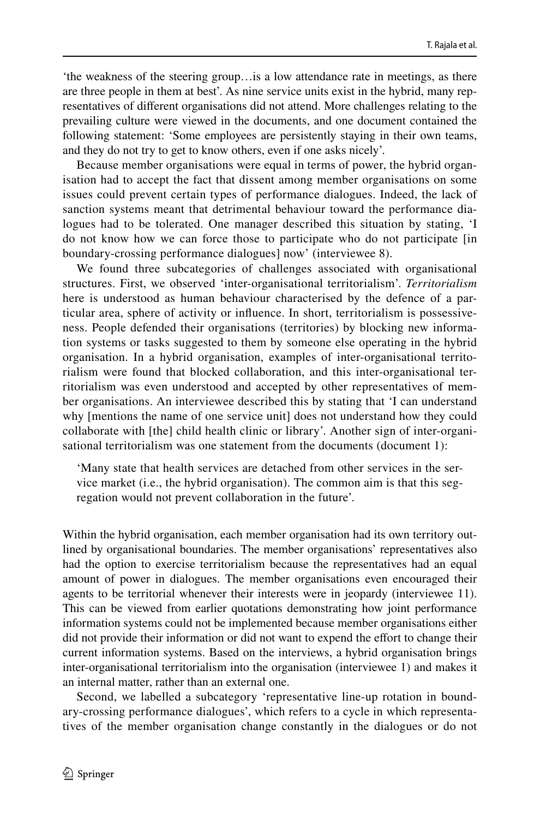'the weakness of the steering group…is a low attendance rate in meetings, as there are three people in them at best'. As nine service units exist in the hybrid, many representatives of diferent organisations did not attend. More challenges relating to the prevailing culture were viewed in the documents, and one document contained the following statement: 'Some employees are persistently staying in their own teams, and they do not try to get to know others, even if one asks nicely'.

Because member organisations were equal in terms of power, the hybrid organisation had to accept the fact that dissent among member organisations on some issues could prevent certain types of performance dialogues. Indeed, the lack of sanction systems meant that detrimental behaviour toward the performance dialogues had to be tolerated. One manager described this situation by stating, 'I do not know how we can force those to participate who do not participate [in boundary-crossing performance dialogues] now' (interviewee 8).

We found three subcategories of challenges associated with organisational structures. First, we observed 'inter-organisational territorialism'. *Territorialism* here is understood as human behaviour characterised by the defence of a particular area, sphere of activity or infuence. In short, territorialism is possessiveness. People defended their organisations (territories) by blocking new information systems or tasks suggested to them by someone else operating in the hybrid organisation. In a hybrid organisation, examples of inter-organisational territorialism were found that blocked collaboration, and this inter-organisational territorialism was even understood and accepted by other representatives of member organisations. An interviewee described this by stating that 'I can understand why [mentions the name of one service unit] does not understand how they could collaborate with [the] child health clinic or library'. Another sign of inter-organisational territorialism was one statement from the documents (document 1):

'Many state that health services are detached from other services in the service market (i.e., the hybrid organisation). The common aim is that this segregation would not prevent collaboration in the future'.

Within the hybrid organisation, each member organisation had its own territory outlined by organisational boundaries. The member organisations' representatives also had the option to exercise territorialism because the representatives had an equal amount of power in dialogues. The member organisations even encouraged their agents to be territorial whenever their interests were in jeopardy (interviewee 11). This can be viewed from earlier quotations demonstrating how joint performance information systems could not be implemented because member organisations either did not provide their information or did not want to expend the efort to change their current information systems. Based on the interviews, a hybrid organisation brings inter-organisational territorialism into the organisation (interviewee 1) and makes it an internal matter, rather than an external one.

Second, we labelled a subcategory 'representative line-up rotation in boundary-crossing performance dialogues', which refers to a cycle in which representatives of the member organisation change constantly in the dialogues or do not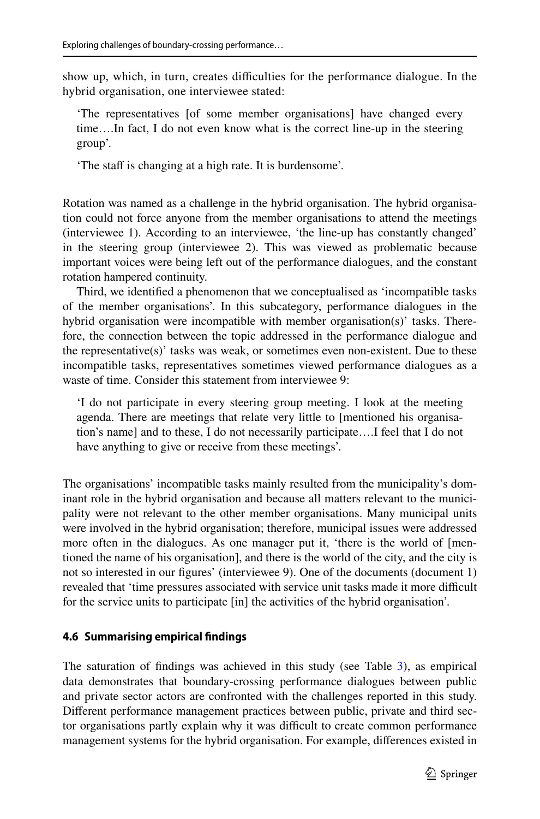show up, which, in turn, creates difficulties for the performance dialogue. In the hybrid organisation, one interviewee stated:

'The representatives [of some member organisations] have changed every time….In fact, I do not even know what is the correct line-up in the steering group'.

'The staff is changing at a high rate. It is burdensome'.

Rotation was named as a challenge in the hybrid organisation. The hybrid organisation could not force anyone from the member organisations to attend the meetings (interviewee 1). According to an interviewee, 'the line-up has constantly changed' in the steering group (interviewee 2). This was viewed as problematic because important voices were being left out of the performance dialogues, and the constant rotation hampered continuity.

Third, we identifed a phenomenon that we conceptualised as 'incompatible tasks of the member organisations'. In this subcategory, performance dialogues in the hybrid organisation were incompatible with member organisation(s)' tasks. Therefore, the connection between the topic addressed in the performance dialogue and the representative(s)' tasks was weak, or sometimes even non-existent. Due to these incompatible tasks, representatives sometimes viewed performance dialogues as a waste of time. Consider this statement from interviewee 9:

'I do not participate in every steering group meeting. I look at the meeting agenda. There are meetings that relate very little to [mentioned his organisation's name] and to these, I do not necessarily participate….I feel that I do not have anything to give or receive from these meetings'.

The organisations' incompatible tasks mainly resulted from the municipality's dominant role in the hybrid organisation and because all matters relevant to the municipality were not relevant to the other member organisations. Many municipal units were involved in the hybrid organisation; therefore, municipal issues were addressed more often in the dialogues. As one manager put it, 'there is the world of [mentioned the name of his organisation], and there is the world of the city, and the city is not so interested in our fgures' (interviewee 9). One of the documents (document 1) revealed that 'time pressures associated with service unit tasks made it more difficult for the service units to participate [in] the activities of the hybrid organisation'.

### **4.6 Summarising empirical fndings**

The saturation of fndings was achieved in this study (see Table [3](#page-15-0)), as empirical data demonstrates that boundary-crossing performance dialogues between public and private sector actors are confronted with the challenges reported in this study. Diferent performance management practices between public, private and third sector organisations partly explain why it was difficult to create common performance management systems for the hybrid organisation. For example, diferences existed in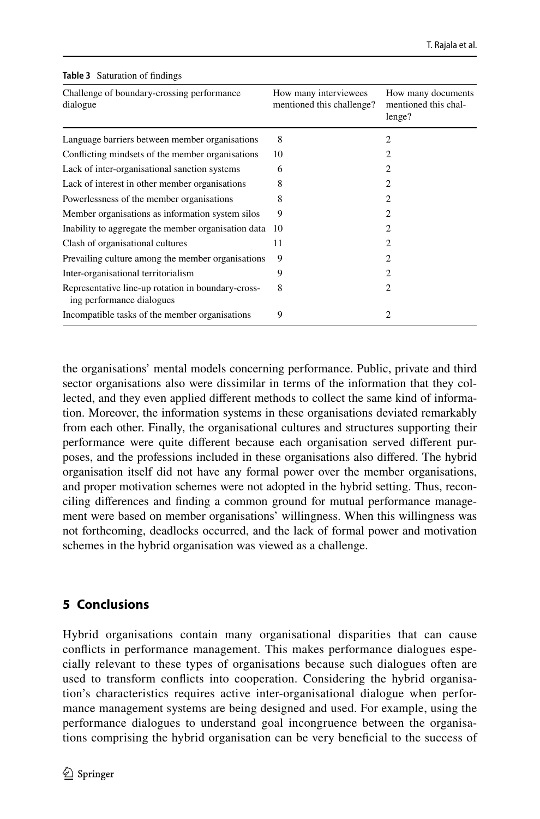| Challenge of boundary-crossing performance<br>dialogue                          | How many interviewees<br>mentioned this challenge? | How many documents<br>mentioned this chal-<br>lenge? |  |  |
|---------------------------------------------------------------------------------|----------------------------------------------------|------------------------------------------------------|--|--|
| Language barriers between member organisations                                  | 8                                                  | $\overline{2}$                                       |  |  |
| Conflicting mindsets of the member organisations                                | 10                                                 | 2                                                    |  |  |
| Lack of inter-organisational sanction systems                                   | 6                                                  | $\overline{c}$                                       |  |  |
| Lack of interest in other member organisations                                  | 8                                                  | $\overline{c}$                                       |  |  |
| Powerlessness of the member organisations                                       | 8                                                  | $\overline{c}$                                       |  |  |
| Member organisations as information system silos                                | 9                                                  | 2                                                    |  |  |
| Inability to aggregate the member organisation data                             | 10                                                 | $\overline{c}$                                       |  |  |
| Clash of organisational cultures                                                | 11                                                 | $\overline{c}$                                       |  |  |
| Prevailing culture among the member organisations                               | 9                                                  | 2                                                    |  |  |
| Inter-organisational territorialism                                             | 9                                                  | 2                                                    |  |  |
| Representative line-up rotation in boundary-cross-<br>ing performance dialogues | 8                                                  | $\overline{2}$                                       |  |  |
| Incompatible tasks of the member organisations                                  | 9                                                  | $\overline{2}$                                       |  |  |

the organisations' mental models concerning performance. Public, private and third sector organisations also were dissimilar in terms of the information that they collected, and they even applied diferent methods to collect the same kind of information. Moreover, the information systems in these organisations deviated remarkably from each other. Finally, the organisational cultures and structures supporting their performance were quite diferent because each organisation served diferent purposes, and the professions included in these organisations also difered. The hybrid organisation itself did not have any formal power over the member organisations, and proper motivation schemes were not adopted in the hybrid setting. Thus, reconciling diferences and fnding a common ground for mutual performance management were based on member organisations' willingness. When this willingness was not forthcoming, deadlocks occurred, and the lack of formal power and motivation schemes in the hybrid organisation was viewed as a challenge.

## **5 Conclusions**

<span id="page-15-0"></span>**Table 3** Saturation of fndings

Hybrid organisations contain many organisational disparities that can cause conficts in performance management. This makes performance dialogues especially relevant to these types of organisations because such dialogues often are used to transform conficts into cooperation. Considering the hybrid organisation's characteristics requires active inter-organisational dialogue when performance management systems are being designed and used. For example, using the performance dialogues to understand goal incongruence between the organisations comprising the hybrid organisation can be very benefcial to the success of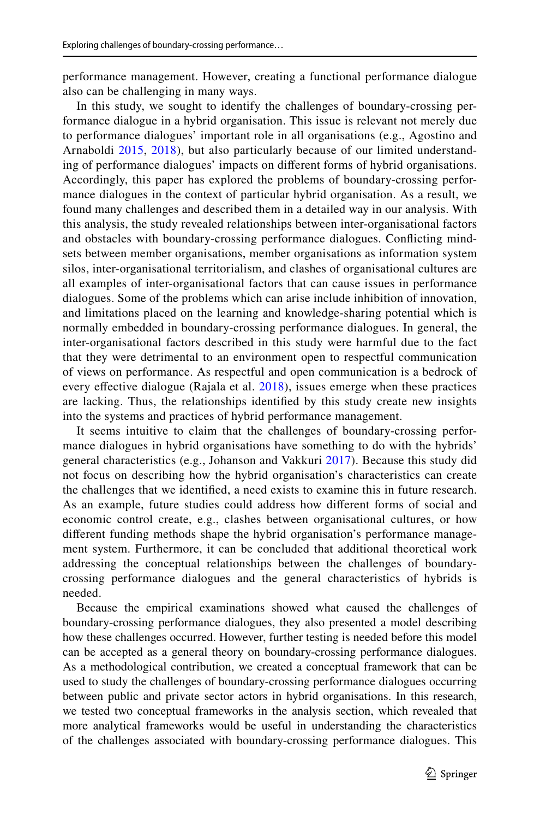performance management. However, creating a functional performance dialogue also can be challenging in many ways.

In this study, we sought to identify the challenges of boundary-crossing performance dialogue in a hybrid organisation. This issue is relevant not merely due to performance dialogues' important role in all organisations (e.g., Agostino and Arnaboldi [2015](#page-19-5), [2018\)](#page-19-2), but also particularly because of our limited understanding of performance dialogues' impacts on diferent forms of hybrid organisations. Accordingly, this paper has explored the problems of boundary-crossing performance dialogues in the context of particular hybrid organisation. As a result, we found many challenges and described them in a detailed way in our analysis. With this analysis, the study revealed relationships between inter-organisational factors and obstacles with boundary-crossing performance dialogues. Conficting mindsets between member organisations, member organisations as information system silos, inter-organisational territorialism, and clashes of organisational cultures are all examples of inter-organisational factors that can cause issues in performance dialogues. Some of the problems which can arise include inhibition of innovation, and limitations placed on the learning and knowledge-sharing potential which is normally embedded in boundary-crossing performance dialogues. In general, the inter-organisational factors described in this study were harmful due to the fact that they were detrimental to an environment open to respectful communication of views on performance. As respectful and open communication is a bedrock of every efective dialogue (Rajala et al. [2018](#page-20-1)), issues emerge when these practices are lacking. Thus, the relationships identifed by this study create new insights into the systems and practices of hybrid performance management.

It seems intuitive to claim that the challenges of boundary-crossing performance dialogues in hybrid organisations have something to do with the hybrids' general characteristics (e.g., Johanson and Vakkuri [2017\)](#page-19-1). Because this study did not focus on describing how the hybrid organisation's characteristics can create the challenges that we identifed, a need exists to examine this in future research. As an example, future studies could address how diferent forms of social and economic control create, e.g., clashes between organisational cultures, or how diferent funding methods shape the hybrid organisation's performance management system. Furthermore, it can be concluded that additional theoretical work addressing the conceptual relationships between the challenges of boundarycrossing performance dialogues and the general characteristics of hybrids is needed.

Because the empirical examinations showed what caused the challenges of boundary-crossing performance dialogues, they also presented a model describing how these challenges occurred. However, further testing is needed before this model can be accepted as a general theory on boundary-crossing performance dialogues. As a methodological contribution, we created a conceptual framework that can be used to study the challenges of boundary-crossing performance dialogues occurring between public and private sector actors in hybrid organisations. In this research, we tested two conceptual frameworks in the analysis section, which revealed that more analytical frameworks would be useful in understanding the characteristics of the challenges associated with boundary-crossing performance dialogues. This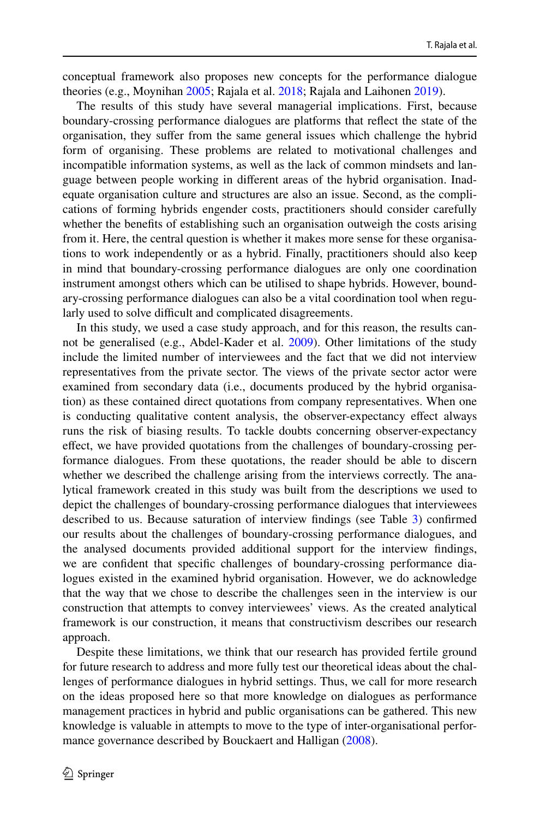conceptual framework also proposes new concepts for the performance dialogue theories (e.g., Moynihan [2005;](#page-20-2) Rajala et al. [2018;](#page-20-1) Rajala and Laihonen [2019](#page-20-4)).

The results of this study have several managerial implications. First, because boundary-crossing performance dialogues are platforms that refect the state of the organisation, they suffer from the same general issues which challenge the hybrid form of organising. These problems are related to motivational challenges and incompatible information systems, as well as the lack of common mindsets and language between people working in diferent areas of the hybrid organisation. Inadequate organisation culture and structures are also an issue. Second, as the complications of forming hybrids engender costs, practitioners should consider carefully whether the benefts of establishing such an organisation outweigh the costs arising from it. Here, the central question is whether it makes more sense for these organisations to work independently or as a hybrid. Finally, practitioners should also keep in mind that boundary-crossing performance dialogues are only one coordination instrument amongst others which can be utilised to shape hybrids. However, boundary-crossing performance dialogues can also be a vital coordination tool when regularly used to solve difficult and complicated disagreements.

In this study, we used a case study approach, and for this reason, the results cannot be generalised (e.g., Abdel-Kader et al. [2009](#page-18-0)). Other limitations of the study include the limited number of interviewees and the fact that we did not interview representatives from the private sector. The views of the private sector actor were examined from secondary data (i.e., documents produced by the hybrid organisation) as these contained direct quotations from company representatives. When one is conducting qualitative content analysis, the observer-expectancy efect always runs the risk of biasing results. To tackle doubts concerning observer-expectancy efect, we have provided quotations from the challenges of boundary-crossing performance dialogues. From these quotations, the reader should be able to discern whether we described the challenge arising from the interviews correctly. The analytical framework created in this study was built from the descriptions we used to depict the challenges of boundary-crossing performance dialogues that interviewees described to us. Because saturation of interview fndings (see Table [3\)](#page-15-0) confrmed our results about the challenges of boundary-crossing performance dialogues, and the analysed documents provided additional support for the interview fndings, we are confdent that specifc challenges of boundary-crossing performance dialogues existed in the examined hybrid organisation. However, we do acknowledge that the way that we chose to describe the challenges seen in the interview is our construction that attempts to convey interviewees' views. As the created analytical framework is our construction, it means that constructivism describes our research approach.

Despite these limitations, we think that our research has provided fertile ground for future research to address and more fully test our theoretical ideas about the challenges of performance dialogues in hybrid settings. Thus, we call for more research on the ideas proposed here so that more knowledge on dialogues as performance management practices in hybrid and public organisations can be gathered. This new knowledge is valuable in attempts to move to the type of inter-organisational performance governance described by Bouckaert and Halligan ([2008\)](#page-19-4).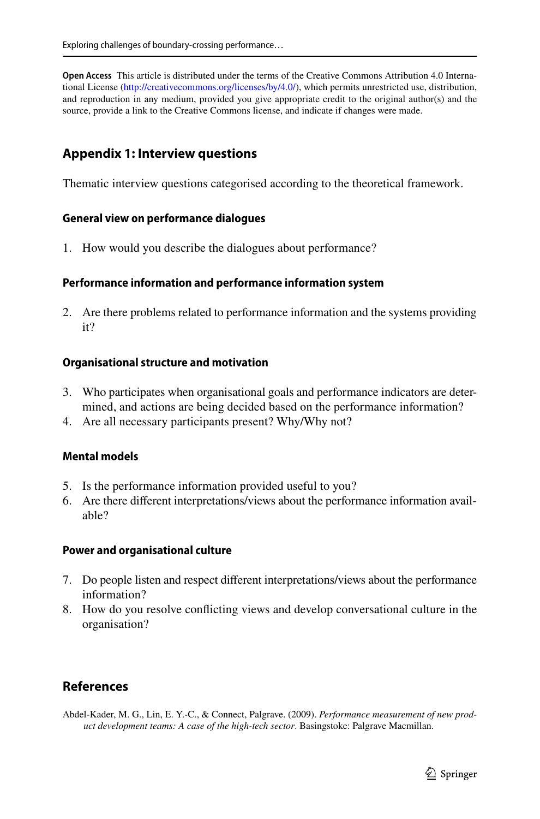**Open Access** This article is distributed under the terms of the Creative Commons Attribution 4.0 International License ([http://creativecommons.org/licenses/by/4.0/\)](http://creativecommons.org/licenses/by/4.0/), which permits unrestricted use, distribution, and reproduction in any medium, provided you give appropriate credit to the original author(s) and the source, provide a link to the Creative Commons license, and indicate if changes were made.

### **Appendix 1: Interview questions**

Thematic interview questions categorised according to the theoretical framework.

#### **General view on performance dialogues**

1. How would you describe the dialogues about performance?

#### **Performance information and performance information system**

2. Are there problems related to performance information and the systems providing it?

#### **Organisational structure and motivation**

- 3. Who participates when organisational goals and performance indicators are determined, and actions are being decided based on the performance information?
- 4. Are all necessary participants present? Why/Why not?

#### **Mental models**

- 5. Is the performance information provided useful to you?
- 6. Are there diferent interpretations/views about the performance information available?

#### **Power and organisational culture**

- 7. Do people listen and respect diferent interpretations/views about the performance information?
- 8. How do you resolve conficting views and develop conversational culture in the organisation?

## **References**

<span id="page-18-0"></span>Abdel-Kader, M. G., Lin, E. Y.-C., & Connect, Palgrave. (2009). *Performance measurement of new product development teams: A case of the high-tech sector*. Basingstoke: Palgrave Macmillan.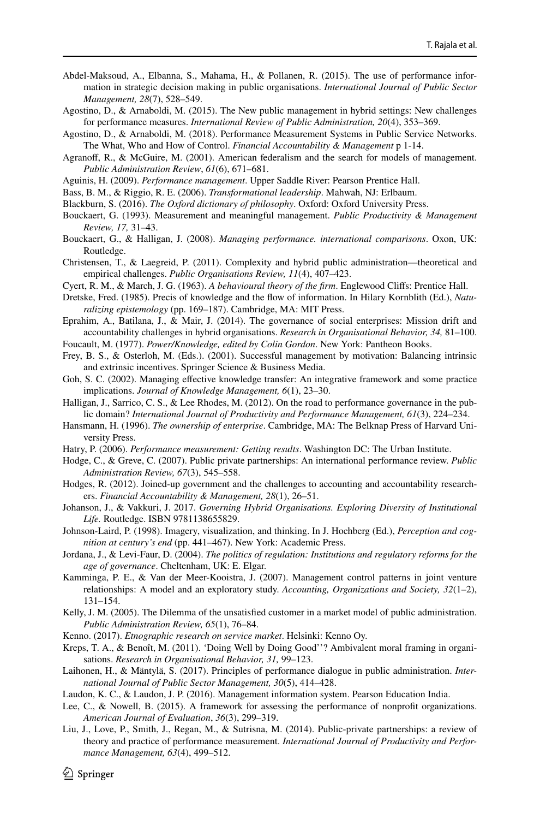- <span id="page-19-24"></span>Abdel-Maksoud, A., Elbanna, S., Mahama, H., & Pollanen, R. (2015). The use of performance information in strategic decision making in public organisations. *International Journal of Public Sector Management, 28*(7), 528–549.
- <span id="page-19-5"></span>Agostino, D., & Arnaboldi, M. (2015). The New public management in hybrid settings: New challenges for performance measures. *International Review of Public Administration, 20*(4), 353–369.
- <span id="page-19-2"></span>Agostino, D., & Arnaboldi, M. (2018). Performance Measurement Systems in Public Service Networks. The What, Who and How of Control. *Financial Accountability & Management* p 1-14.
- <span id="page-19-20"></span>Agranoff, R., & McGuire, M. (2001). American federalism and the search for models of management. *Public Administration Review*, *61*(6), 671–681.
- <span id="page-19-3"></span>Aguinis, H. (2009). *Performance management*. Upper Saddle River: Pearson Prentice Hall.
- <span id="page-19-22"></span>Bass, B. M., & Riggio, R. E. (2006). *Transformational leadership*. Mahwah, NJ: Erlbaum.
- <span id="page-19-26"></span>Blackburn, S. (2016). *The Oxford dictionary of philosophy*. Oxford: Oxford University Press.
- <span id="page-19-23"></span>Bouckaert, G. (1993). Measurement and meaningful management. *Public Productivity & Management Review, 17,* 31–43.
- <span id="page-19-4"></span>Bouckaert, G., & Halligan, J. (2008). *Managing performance. international comparisons*. Oxon, UK: Routledge.
- <span id="page-19-0"></span>Christensen, T., & Laegreid, P. (2011). Complexity and hybrid public administration—theoretical and empirical challenges. *Public Organisations Review, 11*(4), 407–423.
- <span id="page-19-19"></span>Cyert, R. M., & March, J. G. (1963). *A behavioural theory of the frm*. Englewood Clifs: Prentice Hall.
- <span id="page-19-29"></span>Dretske, Fred. (1985). Precis of knowledge and the fow of information. In Hilary Kornblith (Ed.), *Naturalizing epistemology* (pp. 169–187). Cambridge, MA: MIT Press.
- <span id="page-19-12"></span>Eprahim, A., Batilana, J., & Mair, J. (2014). The governance of social enterprises: Mission drift and accountability challenges in hybrid organisations. *Research in Organisational Behavior, 34,* 81–100.
- <span id="page-19-28"></span>Foucault, M. (1977). *Power/Knowledge, edited by Colin Gordon*. New York: Pantheon Books.
- <span id="page-19-31"></span>Frey, B. S., & Osterloh, M. (Eds.). (2001). Successful management by motivation: Balancing intrinsic and extrinsic incentives. Springer Science & Business Media.
- <span id="page-19-25"></span>Goh, S. C. (2002). Managing efective knowledge transfer: An integrative framework and some practice implications. *Journal of Knowledge Management, 6*(1), 23–30.
- <span id="page-19-9"></span>Halligan, J., Sarrico, C. S., & Lee Rhodes, M. (2012). On the road to performance governance in the public domain? *International Journal of Productivity and Performance Management, 61*(3), 224–234.
- <span id="page-19-10"></span>Hansmann, H. (1996). *The ownership of enterprise*. Cambridge, MA: The Belknap Press of Harvard University Press.
- <span id="page-19-6"></span>Hatry, P. (2006). *Performance measurement: Getting results*. Washington DC: The Urban Institute.
- <span id="page-19-13"></span>Hodge, C., & Greve, C. (2007). Public private partnerships: An international performance review. *Public Administration Review, 67*(3), 545–558.
- <span id="page-19-8"></span>Hodges, R. (2012). Joined-up government and the challenges to accounting and accountability researchers. *Financial Accountability & Management, 28*(1), 26–51.
- <span id="page-19-1"></span>Johanson, J., & Vakkuri, J. 2017. *Governing Hybrid Organisations. Exploring Diversity of Institutional Life.* Routledge. ISBN 9781138655829.
- <span id="page-19-27"></span>Johnson-Laird, P. (1998). Imagery, visualization, and thinking. In J. Hochberg (Ed.), *Perception and cognition at century's end* (pp. 441–467). New York: Academic Press.
- <span id="page-19-15"></span>Jordana, J., & Levi-Faur, D. (2004). *The politics of regulation: Institutions and regulatory reforms for the age of governance*. Cheltenham, UK: E. Elgar.
- <span id="page-19-18"></span>Kamminga, P. E., & Van der Meer-Kooistra, J. (2007). Management control patterns in joint venture relationships: A model and an exploratory study. *Accounting, Organizations and Society, 32*(1–2), 131–154.
- <span id="page-19-14"></span>Kelly, J. M. (2005). The Dilemma of the unsatisfed customer in a market model of public administration. *Public Administration Review, 65*(1), 76–84.
- <span id="page-19-21"></span>Kenno. (2017). *Etnographic research on service market*. Helsinki: Kenno Oy.
- <span id="page-19-11"></span>Kreps, T. A., & Benoît, M. (2011). 'Doing Well by Doing Good''? Ambivalent moral framing in organisations. *Research in Organisational Behavior, 31,* 99–123.
- <span id="page-19-7"></span>Laihonen, H., & Mäntylä, S. (2017). Principles of performance dialogue in public administration. *International Journal of Public Sector Management, 30*(5), 414–428.
- <span id="page-19-30"></span>Laudon, K. C., & Laudon, J. P. (2016). Management information system. Pearson Education India.
- <span id="page-19-17"></span>Lee, C., & Nowell, B. (2015). A framework for assessing the performance of nonproft organizations. *American Journal of Evaluation*, *36*(3), 299–319.
- <span id="page-19-16"></span>Liu, J., Love, P., Smith, J., Regan, M., & Sutrisna, M. (2014). Public-private partnerships: a review of theory and practice of performance measurement. *International Journal of Productivity and Performance Management, 63*(4), 499–512.

 $\mathcal{L}$  Springer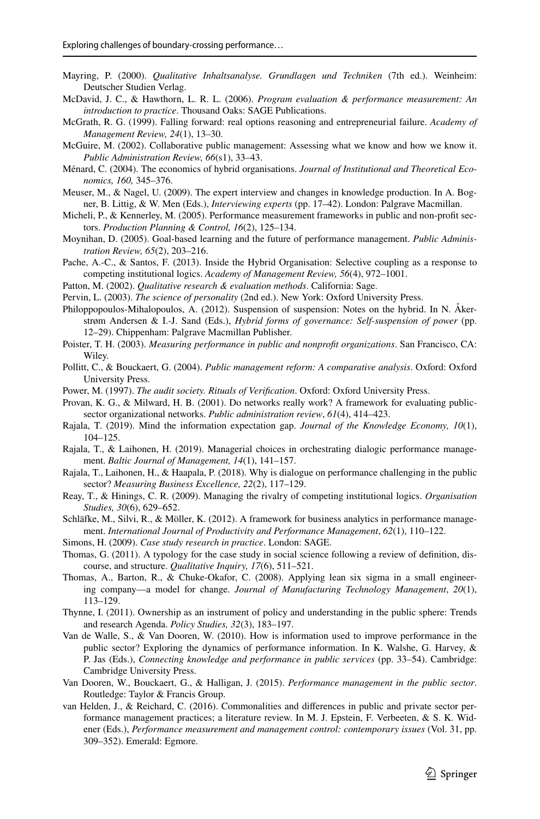- <span id="page-20-22"></span>Mayring, P. (2000). *Qualitative Inhaltsanalyse. Grundlagen und Techniken* (7th ed.). Weinheim: Deutscher Studien Verlag.
- <span id="page-20-15"></span>McDavid, J. C., & Hawthorn, L. R. L. (2006). *Program evaluation & performance measurement: An introduction to practice*. Thousand Oaks: SAGE Publications.
- <span id="page-20-23"></span>McGrath, R. G. (1999). Falling forward: real options reasoning and entrepreneurial failure. *Academy of Management Review, 24*(1), 13–30.
- <span id="page-20-0"></span>McGuire, M. (2002). Collaborative public management: Assessing what we know and how we know it. *Public Administration Review, 66*(s1), 33–43.
- <span id="page-20-5"></span>Ménard, C. (2004). The economics of hybrid organisations. *Journal of Institutional and Theoretical Economics, 160,* 345–376.
- <span id="page-20-20"></span>Meuser, M., & Nagel, U. (2009). The expert interview and changes in knowledge production. In A. Bogner, B. Littig, & W. Men (Eds.), *Interviewing experts* (pp. 17–42). London: Palgrave Macmillan.
- <span id="page-20-12"></span>Micheli, P., & Kennerley, M. (2005). Performance measurement frameworks in public and non-proft sectors. *Production Planning & Control, 16*(2), 125–134.
- <span id="page-20-2"></span>Moynihan, D. (2005). Goal-based learning and the future of performance management. *Public Administration Review, 65*(2), 203–216.
- <span id="page-20-9"></span>Pache, A.-C., & Santos, F. (2013). Inside the Hybrid Organisation: Selective coupling as a response to competing institutional logics. *Academy of Management Review, 56*(4), 972–1001.
- <span id="page-20-21"></span>Patton, M. (2002). *Qualitative research & evaluation methods*. California: Sage.
- <span id="page-20-27"></span>Pervin, L. (2003). *The science of personality* (2nd ed.). New York: Oxford University Press.
- <span id="page-20-6"></span>Philoppopoulos-Mihalopoulos, A. (2012). Suspension of suspension: Notes on the hybrid. In N. Åkerstrøm Andersen & I.-J. Sand (Eds.), *Hybrid forms of governance: Self-suspension of power* (pp. 12–29). Chippenham: Palgrave Macmillan Publisher.
- <span id="page-20-24"></span>Poister, T. H. (2003). *Measuring performance in public and nonproft organizations*. San Francisco, CA: Wiley.
- <span id="page-20-11"></span>Pollitt, C., & Bouckaert, G. (2004). *Public management reform: A comparative analysis*. Oxford: Oxford University Press.
- <span id="page-20-10"></span>Power, M. (1997). *The audit society. Rituals of Verifcation*. Oxford: Oxford University Press.
- <span id="page-20-17"></span>Provan, K. G., & Milward, H. B. (2001). Do networks really work? A framework for evaluating publicsector organizational networks. *Public administration review*, *61*(4), 414–423.
- <span id="page-20-26"></span>Rajala, T. (2019). Mind the information expectation gap. *Journal of the Knowledge Economy, 10*(1), 104–125.
- <span id="page-20-4"></span>Rajala, T., & Laihonen, H. (2019). Managerial choices in orchestrating dialogic performance management. *Baltic Journal of Management, 14*(1), 141–157.
- <span id="page-20-1"></span>Rajala, T., Laihonen, H., & Haapala, P. (2018). Why is dialogue on performance challenging in the public sector? *Measuring Business Excellence, 22*(2), 117–129.
- <span id="page-20-8"></span>Reay, T., & Hinings, C. R. (2009). Managing the rivalry of competing institutional logics. *Organisation Studies, 30*(6), 629–652.
- <span id="page-20-14"></span>Schläfke, M., Silvi, R., & Möller, K. (2012). A framework for business analytics in performance management. *International Journal of Productivity and Performance Management*, *62*(1), 110–122.
- <span id="page-20-18"></span>Simons, H. (2009). *Case study research in practice*. London: SAGE.
- <span id="page-20-19"></span>Thomas, G. (2011). A typology for the case study in social science following a review of defnition, discourse, and structure. *Qualitative Inquiry, 17*(6), 511–521.
- <span id="page-20-13"></span>Thomas, A., Barton, R., & Chuke-Okafor, C. (2008). Applying lean six sigma in a small engineering company—a model for change. *Journal of Manufacturing Technology Management*, *20*(1), 113–129.
- <span id="page-20-7"></span>Thynne, I. (2011). Ownership as an instrument of policy and understanding in the public sphere: Trends and research Agenda. *Policy Studies, 32*(3), 183–197.
- <span id="page-20-25"></span>Van de Walle, S., & Van Dooren, W. (2010). How is information used to improve performance in the public sector? Exploring the dynamics of performance information. In K. Walshe, G. Harvey, & P. Jas (Eds.), *Connecting knowledge and performance in public services* (pp. 33–54). Cambridge: Cambridge University Press.
- <span id="page-20-3"></span>Van Dooren, W., Bouckaert, G., & Halligan, J. (2015). *Performance management in the public sector*. Routledge: Taylor & Francis Group.
- <span id="page-20-16"></span>van Helden, J., & Reichard, C. (2016). Commonalities and diferences in public and private sector performance management practices; a literature review. In M. J. Epstein, F. Verbeeten, & S. K. Widener (Eds.), *Performance measurement and management control: contemporary issues* (Vol. 31, pp. 309–352). Emerald: Egmore.